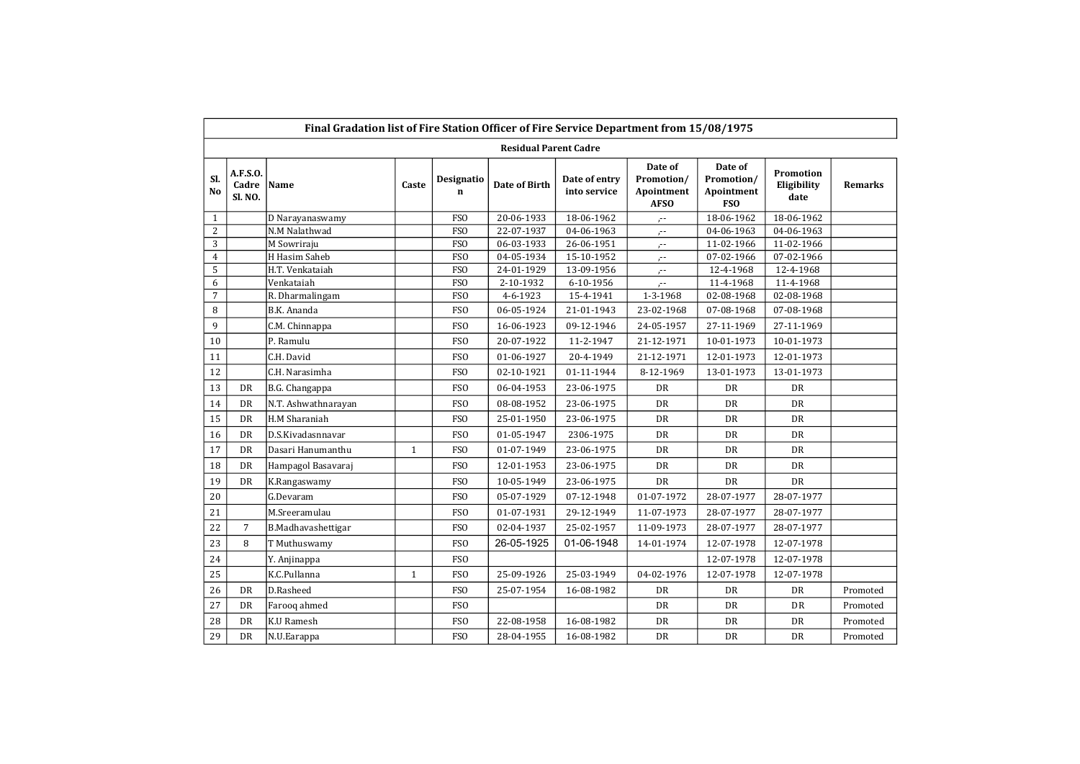|                | Final Gradation list of Fire Station Officer of Fire Service Department from 15/08/1975<br><b>Residual Parent Cadre</b><br>Date of<br>Date of |                     |              |                           |               |                               |                                         |                                        |                                  |          |  |  |  |  |  |
|----------------|-----------------------------------------------------------------------------------------------------------------------------------------------|---------------------|--------------|---------------------------|---------------|-------------------------------|-----------------------------------------|----------------------------------------|----------------------------------|----------|--|--|--|--|--|
| SI.<br>No      | A.F.S.O.<br>Cadre Name<br><b>SI. NO.</b>                                                                                                      |                     | Caste        | Designatio<br>$\mathbf n$ | Date of Birth | Date of entry<br>into service | Promotion/<br>Apointment<br><b>AFSO</b> | Promotion/<br>Apointment<br><b>FSO</b> | Promotion<br>Eligibility<br>date | Remarks  |  |  |  |  |  |
| $\mathbf{1}$   |                                                                                                                                               | D Narayanaswamy     |              | FSO                       | 20-06-1933    | 18-06-1962                    | $\mathcal{C}^{\perp}$                   | 18-06-1962                             | 18-06-1962                       |          |  |  |  |  |  |
| $\overline{2}$ |                                                                                                                                               | N.M Nalathwad       |              | <b>FSO</b>                | 22-07-1937    | 04-06-1963                    | $\mathcal{F}^{\pm}$                     | 04-06-1963                             | 04-06-1963                       |          |  |  |  |  |  |
| 3              |                                                                                                                                               | M Sowriraju         |              | <b>FSO</b>                | 06-03-1933    | 26-06-1951                    | $\mathcal{L}^{\pm}$                     | 11-02-1966                             | 11-02-1966                       |          |  |  |  |  |  |
| $\overline{4}$ |                                                                                                                                               | H Hasim Saheb       |              | <b>FSO</b>                | 04-05-1934    | 15-10-1952                    | $\mathcal{L}^{\pm}$                     | 07-02-1966                             | 07-02-1966                       |          |  |  |  |  |  |
| 5              |                                                                                                                                               | H.T. Venkataiah     |              | <b>FSO</b>                | 24-01-1929    | 13-09-1956                    | $\cdot$ .                               | 12-4-1968                              | 12-4-1968                        |          |  |  |  |  |  |
| 6              |                                                                                                                                               | Venkataiah          |              | <b>FSO</b>                | 2-10-1932     | 6-10-1956                     | $\ddot{\phantom{0}}$                    | 11-4-1968                              | 11-4-1968                        |          |  |  |  |  |  |
| $\overline{7}$ |                                                                                                                                               | R. Dharmalingam     |              | <b>FSO</b>                | 4-6-1923      | 15-4-1941                     | 1-3-1968                                | 02-08-1968                             | 02-08-1968                       |          |  |  |  |  |  |
| 8              |                                                                                                                                               | B.K. Ananda         |              | <b>FSO</b>                | 06-05-1924    | 21-01-1943                    | 23-02-1968                              | 07-08-1968                             | 07-08-1968                       |          |  |  |  |  |  |
| 9              |                                                                                                                                               | C.M. Chinnappa      |              | <b>FSO</b>                | 16-06-1923    | 09-12-1946                    | 24-05-1957                              | 27-11-1969                             | 27-11-1969                       |          |  |  |  |  |  |
| 10             |                                                                                                                                               | P. Ramulu           |              | <b>FSO</b>                | 20-07-1922    | 11-2-1947                     | 21-12-1971                              | 10-01-1973                             | 10-01-1973                       |          |  |  |  |  |  |
| 11             |                                                                                                                                               | C.H. David          |              | <b>FSO</b>                | 01-06-1927    | 20-4-1949                     | 21-12-1971                              | 12-01-1973                             | 12-01-1973                       |          |  |  |  |  |  |
| 12             |                                                                                                                                               | C.H. Narasimha      |              | <b>FSO</b>                | 02-10-1921    | 01-11-1944                    | 8-12-1969                               | 13-01-1973                             | 13-01-1973                       |          |  |  |  |  |  |
| 13             | DR                                                                                                                                            | B.G. Changappa      |              | <b>FSO</b>                | 06-04-1953    | 23-06-1975                    | DR                                      | DR                                     | DR                               |          |  |  |  |  |  |
| 14             | DR                                                                                                                                            | N.T. Ashwathnarayan |              | <b>FSO</b>                | 08-08-1952    | 23-06-1975                    | <b>DR</b>                               | <b>DR</b>                              | <b>DR</b>                        |          |  |  |  |  |  |
| 15             | DR                                                                                                                                            | H.M Sharaniah       |              | <b>FSO</b>                | 25-01-1950    | 23-06-1975                    | DR                                      | <b>DR</b>                              | <b>DR</b>                        |          |  |  |  |  |  |
| 16             | DR                                                                                                                                            | D.S.Kivadasnnavar   |              | <b>FSO</b>                | 01-05-1947    | 2306-1975                     | DR                                      | DR                                     | DR                               |          |  |  |  |  |  |
| 17             | DR                                                                                                                                            | Dasari Hanumanthu   | $\mathbf{1}$ | <b>FSO</b>                | 01-07-1949    | 23-06-1975                    | DR                                      | DR                                     | DR                               |          |  |  |  |  |  |
| 18             | DR                                                                                                                                            | Hampagol Basavaraj  |              | <b>FSO</b>                | 12-01-1953    | 23-06-1975                    | <b>DR</b>                               | DR                                     | DR                               |          |  |  |  |  |  |
| 19             | DR                                                                                                                                            | K.Rangaswamy        |              | <b>FSO</b>                | 10-05-1949    | 23-06-1975                    | <b>DR</b>                               | <b>DR</b>                              | <b>DR</b>                        |          |  |  |  |  |  |
| 20             |                                                                                                                                               | G.Devaram           |              | <b>FSO</b>                | 05-07-1929    | 07-12-1948                    | 01-07-1972                              | 28-07-1977                             | 28-07-1977                       |          |  |  |  |  |  |
| 21             |                                                                                                                                               | M.Sreeramulau       |              | <b>FSO</b>                | 01-07-1931    | 29-12-1949                    | 11-07-1973                              | 28-07-1977                             | 28-07-1977                       |          |  |  |  |  |  |
| 22             | $\overline{7}$                                                                                                                                | B.Madhavashettigar  |              | <b>FSO</b>                | 02-04-1937    | 25-02-1957                    | 11-09-1973                              | 28-07-1977                             | 28-07-1977                       |          |  |  |  |  |  |
| 23             | 8                                                                                                                                             | T Muthuswamy        |              | <b>FSO</b>                | 26-05-1925    | 01-06-1948                    | 14-01-1974                              | 12-07-1978                             | 12-07-1978                       |          |  |  |  |  |  |
| 24             |                                                                                                                                               | Y. Anjinappa        |              | <b>FSO</b>                |               |                               |                                         | 12-07-1978                             | 12-07-1978                       |          |  |  |  |  |  |
| 25             |                                                                                                                                               | K.C.Pullanna        | $1\,$        | <b>FSO</b>                | 25-09-1926    | 25-03-1949                    | 04-02-1976                              | 12-07-1978                             | 12-07-1978                       |          |  |  |  |  |  |
| 26             | DR                                                                                                                                            | D.Rasheed           |              | <b>FSO</b>                | 25-07-1954    | 16-08-1982                    | DR                                      | DR                                     | DR                               | Promoted |  |  |  |  |  |
| 27             | DR                                                                                                                                            | Farooq ahmed        |              | <b>FSO</b>                |               |                               | <b>DR</b>                               | <b>DR</b>                              | <b>DR</b>                        | Promoted |  |  |  |  |  |
| 28             | DR                                                                                                                                            | K.U Ramesh          |              | <b>FSO</b>                | 22-08-1958    | 16-08-1982                    | DR                                      | DR                                     | DR                               | Promoted |  |  |  |  |  |
| 29             | DR                                                                                                                                            | N.U.Earappa         |              | <b>FSO</b>                | 28-04-1955    | 16-08-1982                    | DR                                      | <b>DR</b>                              | <b>DR</b>                        | Promoted |  |  |  |  |  |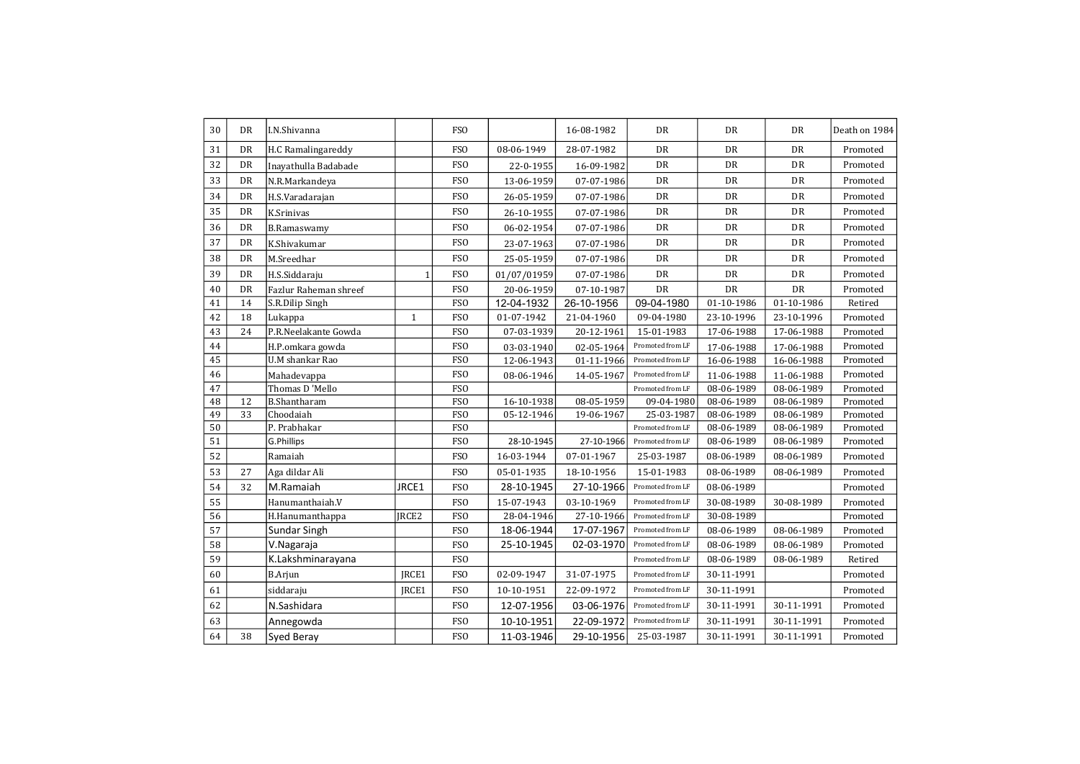| 30 | DR        | I.N.Shivanna           |              | <b>FSO</b>      |             | 16-08-1982 | DR               | DR         | <b>DR</b>  | Death on 1984 |
|----|-----------|------------------------|--------------|-----------------|-------------|------------|------------------|------------|------------|---------------|
| 31 | <b>DR</b> | H.C Ramalingareddy     |              | <b>FSO</b>      | 08-06-1949  | 28-07-1982 | <b>DR</b>        | DR         | <b>DR</b>  | Promoted      |
| 32 | <b>DR</b> | Inayathulla Badabade   |              | <b>FSO</b>      | 22-0-1955   | 16-09-1982 | DR               | DR         | <b>DR</b>  | Promoted      |
| 33 | DR        | N.R.Markandeya         |              | <b>FSO</b>      | 13-06-1959  | 07-07-1986 | <b>DR</b>        | DR         | <b>DR</b>  | Promoted      |
| 34 | DR        | H.S.Varadarajan        |              | <b>FSO</b>      | 26-05-1959  | 07-07-1986 | DR               | DR         | DR         | Promoted      |
| 35 | <b>DR</b> | K.Srinivas             |              | <b>FSO</b>      | 26-10-1955  | 07-07-1986 | DR               | DR         | <b>DR</b>  | Promoted      |
| 36 | <b>DR</b> | <b>B.Ramaswamy</b>     |              | <b>FSO</b>      | 06-02-1954  | 07-07-1986 | DR               | DR         | <b>DR</b>  | Promoted      |
| 37 | <b>DR</b> | K.Shivakumar           |              | FS <sub>O</sub> | 23-07-1963  | 07-07-1986 | DR               | DR         | DR         | Promoted      |
| 38 | DR        | M.Sreedhar             |              | FS <sub>O</sub> | 25-05-1959  | 07-07-1986 | DR               | DR         | DR         | Promoted      |
| 39 | DR        | H.S.Siddaraju          | $\mathbf{1}$ | <b>FSO</b>      | 01/07/01959 | 07-07-1986 | DR               | DR         | DR         | Promoted      |
| 40 | DR        | Fazlur Raheman shreef  |              | FS <sub>O</sub> | 20-06-1959  | 07-10-1987 | DR               | DR         | <b>DR</b>  | Promoted      |
| 41 | 14        | S.R.Dilip Singh        |              | FS <sub>O</sub> | 12-04-1932  | 26-10-1956 | 09-04-1980       | 01-10-1986 | 01-10-1986 | Retired       |
| 42 | 18        | Lukappa                | $\mathbf{1}$ | <b>FSO</b>      | 01-07-1942  | 21-04-1960 | 09-04-1980       | 23-10-1996 | 23-10-1996 | Promoted      |
| 43 | 24        | P.R.Neelakante Gowda   |              | <b>FSO</b>      | 07-03-1939  | 20-12-1961 | 15-01-1983       | 17-06-1988 | 17-06-1988 | Promoted      |
| 44 |           | H.P.omkara gowda       |              | FS <sub>0</sub> | 03-03-1940  | 02-05-1964 | Promoted from LF | 17-06-1988 | 17-06-1988 | Promoted      |
| 45 |           | <b>U.M</b> shankar Rao |              | FS <sub>O</sub> | 12-06-1943  | 01-11-1966 | Promoted from LF | 16-06-1988 | 16-06-1988 | Promoted      |
| 46 |           | Mahadevappa            |              | FS <sub>O</sub> | 08-06-1946  | 14-05-1967 | Promoted from LF | 11-06-1988 | 11-06-1988 | Promoted      |
| 47 |           | Thomas D'Mello         |              | FS <sub>O</sub> |             |            | Promoted from LF | 08-06-1989 | 08-06-1989 | Promoted      |
| 48 | 12        | <b>B.Shantharam</b>    |              | FS <sub>O</sub> | 16-10-1938  | 08-05-1959 | 09-04-1980       | 08-06-1989 | 08-06-1989 | Promoted      |
| 49 | 33        | Choodaiah              |              | <b>FSO</b>      | 05-12-1946  | 19-06-1967 | 25-03-1987       | 08-06-1989 | 08-06-1989 | Promoted      |
| 50 |           | P. Prabhakar           |              | <b>FSO</b>      |             |            | Promoted from LF | 08-06-1989 | 08-06-1989 | Promoted      |
| 51 |           | G.Phillips             |              | <b>FSO</b>      | 28-10-1945  | 27-10-1966 | Promoted from LF | 08-06-1989 | 08-06-1989 | Promoted      |
| 52 |           | Ramaiah                |              | <b>FSO</b>      | 16-03-1944  | 07-01-1967 | 25-03-1987       | 08-06-1989 | 08-06-1989 | Promoted      |
| 53 | 27        | Aga dildar Ali         |              | <b>FSO</b>      | 05-01-1935  | 18-10-1956 | 15-01-1983       | 08-06-1989 | 08-06-1989 | Promoted      |
| 54 | 32        | M.Ramaiah              | JRCE1        | FS <sub>O</sub> | 28-10-1945  | 27-10-1966 | Promoted from LF | 08-06-1989 |            | Promoted      |
| 55 |           | Hanumanthaiah.V        |              | FS <sub>O</sub> | 15-07-1943  | 03-10-1969 | Promoted from LF | 30-08-1989 | 30-08-1989 | Promoted      |
| 56 |           | H.Hanumanthappa        | <b>IRCE2</b> | <b>FSO</b>      | 28-04-1946  | 27-10-1966 | Promoted from LF | 30-08-1989 |            | Promoted      |
| 57 |           | <b>Sundar Singh</b>    |              | FS <sub>O</sub> | 18-06-1944  | 17-07-1967 | Promoted from LF | 08-06-1989 | 08-06-1989 | Promoted      |
| 58 |           | V.Nagaraja             |              | <b>FSO</b>      | 25-10-1945  | 02-03-1970 | Promoted from LF | 08-06-1989 | 08-06-1989 | Promoted      |
| 59 |           | K.Lakshminarayana      |              | FS <sub>O</sub> |             |            | Promoted from LF | 08-06-1989 | 08-06-1989 | Retired       |
| 60 |           | <b>B.Arjun</b>         | JRCE1        | <b>FSO</b>      | 02-09-1947  | 31-07-1975 | Promoted from LF | 30-11-1991 |            | Promoted      |
| 61 |           | siddaraju              | JRCE1        | <b>FSO</b>      | 10-10-1951  | 22-09-1972 | Promoted from LF | 30-11-1991 |            | Promoted      |
| 62 |           | N.Sashidara            |              | FS <sub>0</sub> | 12-07-1956  | 03-06-1976 | Promoted from LF | 30-11-1991 | 30-11-1991 | Promoted      |
| 63 |           | Annegowda              |              | <b>FSO</b>      | 10-10-1951  | 22-09-1972 | Promoted from LF | 30-11-1991 | 30-11-1991 | Promoted      |
| 64 | 38        | Syed Beray             |              | <b>FSO</b>      | 11-03-1946  | 29-10-1956 | 25-03-1987       | 30-11-1991 | 30-11-1991 | Promoted      |
|    |           |                        |              |                 |             |            |                  |            |            |               |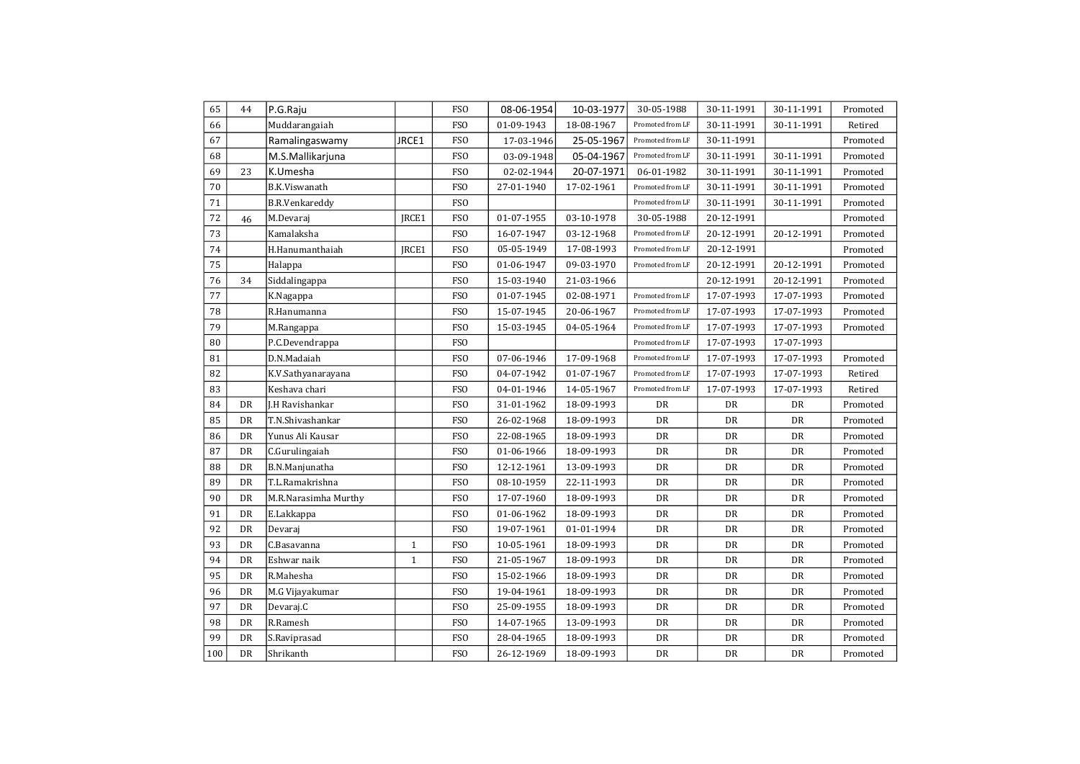| 65  | 44 | P.G.Raju              |              | FS <sub>O</sub> | 08-06-1954 | 10-03-1977 | 30-05-1988             | 30-11-1991 | 30-11-1991 | Promoted |
|-----|----|-----------------------|--------------|-----------------|------------|------------|------------------------|------------|------------|----------|
| 66  |    | Muddarangaiah         |              | <b>FSO</b>      | 01-09-1943 | 18-08-1967 | Promoted from LF       | 30-11-1991 | 30-11-1991 | Retired  |
| 67  |    | Ramalingaswamy        | JRCE1        | <b>FSO</b>      | 17-03-1946 | 25-05-1967 | Promoted from LF       | 30-11-1991 |            | Promoted |
| 68  |    | M.S.Mallikarjuna      |              | <b>FSO</b>      | 03-09-1948 | 05-04-1967 | Promoted from LF       | 30-11-1991 | 30-11-1991 | Promoted |
| 69  | 23 | K.Umesha              |              | <b>FSO</b>      | 02-02-1944 | 20-07-1971 | 06-01-1982             | 30-11-1991 | 30-11-1991 | Promoted |
| 70  |    | B.K.Viswanath         |              | FSO             | 27-01-1940 | 17-02-1961 | Promoted from LF       | 30-11-1991 | 30-11-1991 | Promoted |
| 71  |    | <b>B.R.Venkareddy</b> |              | <b>FSO</b>      |            |            | Promoted from LF       | 30-11-1991 | 30-11-1991 | Promoted |
| 72  | 46 | M.Devaraj             | IRCE1        | <b>FSO</b>      | 01-07-1955 | 03-10-1978 | 30-05-1988             | 20-12-1991 |            | Promoted |
| 73  |    | Kamalaksha            |              | <b>FSO</b>      | 16-07-1947 | 03-12-1968 | Promoted from LF       | 20-12-1991 | 20-12-1991 | Promoted |
| 74  |    | H.Hanumanthaiah       | JRCE1        | <b>FSO</b>      | 05-05-1949 | 17-08-1993 | Promoted from LF       | 20-12-1991 |            | Promoted |
| 75  |    | Halappa               |              | <b>FSO</b>      | 01-06-1947 | 09-03-1970 | Promoted from LF       | 20-12-1991 | 20-12-1991 | Promoted |
| 76  | 34 | Siddalingappa         |              | FS <sub>O</sub> | 15-03-1940 | 21-03-1966 |                        | 20-12-1991 | 20-12-1991 | Promoted |
| 77  |    | K.Nagappa             |              | FSO             | 01-07-1945 | 02-08-1971 | Promoted from LF       | 17-07-1993 | 17-07-1993 | Promoted |
| 78  |    | R.Hanumanna           |              | FSO             | 15-07-1945 | 20-06-1967 | Promoted from LF       | 17-07-1993 | 17-07-1993 | Promoted |
| 79  |    | M.Rangappa            |              | <b>FSO</b>      | 15-03-1945 | 04-05-1964 | Promoted from LF       | 17-07-1993 | 17-07-1993 | Promoted |
| 80  |    | P.C.Devendrappa       |              | <b>FSO</b>      |            |            | Promoted from LF       | 17-07-1993 | 17-07-1993 |          |
| 81  |    | D.N.Madaiah           |              | <b>FSO</b>      | 07-06-1946 | 17-09-1968 | Promoted from LF       | 17-07-1993 | 17-07-1993 | Promoted |
| 82  |    | K.V.Sathyanarayana    |              | <b>FSO</b>      | 04-07-1942 | 01-07-1967 | Promoted from LF       | 17-07-1993 | 17-07-1993 | Retired  |
| 83  |    | Keshava chari         |              | <b>FSO</b>      | 04-01-1946 | 14-05-1967 | Promoted from LF       | 17-07-1993 | 17-07-1993 | Retired  |
| 84  | DR | J.H Ravishankar       |              | FS <sub>O</sub> | 31-01-1962 | 18-09-1993 | DR                     | DR         | DR         | Promoted |
| 85  | DR | T.N.Shivashankar      |              | FSO             | 26-02-1968 | 18-09-1993 | DR                     | DR         | DR         | Promoted |
| 86  | DR | Yunus Ali Kausar      |              | <b>FSO</b>      | 22-08-1965 | 18-09-1993 | DR                     | DR         | DR         | Promoted |
| 87  | DR | C.Gurulingaiah        |              | FS <sub>O</sub> | 01-06-1966 | 18-09-1993 | DR                     | DR         | DR         | Promoted |
| 88  | DR | B.N.Manjunatha        |              | <b>FSO</b>      | 12-12-1961 | 13-09-1993 | DR                     | DR         | <b>DR</b>  | Promoted |
| 89  | DR | T.L.Ramakrishna       |              | <b>FSO</b>      | 08-10-1959 | 22-11-1993 | DR                     | DR         | DR         | Promoted |
| 90  | DR | M.R.Narasimha Murthy  |              | <b>FSO</b>      | 17-07-1960 | 18-09-1993 | DR                     | DR         | DR         | Promoted |
| 91  | DR | E.Lakkappa            |              | FS <sub>O</sub> | 01-06-1962 | 18-09-1993 | DR                     | DR         | DR         | Promoted |
| 92  | DR | Devaraj               |              | <b>FSO</b>      | 19-07-1961 | 01-01-1994 | ${\rm D}{\rm R}$       | DR         | DR         | Promoted |
| 93  | DR | C.Basavanna           | $\mathbf{1}$ | <b>FSO</b>      | 10-05-1961 | 18-09-1993 | DR                     | DR         | DR         | Promoted |
| 94  | DR | Eshwar naik           | $\mathbf{1}$ | <b>FSO</b>      | 21-05-1967 | 18-09-1993 | DR                     | DR         | DR         | Promoted |
| 95  | DR | R.Mahesha             |              | <b>FSO</b>      | 15-02-1966 | 18-09-1993 | DR                     | DR         | DR         | Promoted |
| 96  | DR | M.G Vijayakumar       |              | FSO             | 19-04-1961 | 18-09-1993 | DR                     | DR         | DR         | Promoted |
| 97  | DR | Devaraj.C             |              | FSO             | 25-09-1955 | 18-09-1993 | DR                     | <b>DR</b>  | DR         | Promoted |
| 98  | DR | R.Ramesh              |              | <b>FSO</b>      | 14-07-1965 | 13-09-1993 | DR                     | DR         | <b>DR</b>  | Promoted |
| 99  | DR | S.Raviprasad          |              | <b>FSO</b>      | 28-04-1965 | 18-09-1993 | $\mathbf{D}\mathbf{R}$ | DR         | DR         | Promoted |
| 100 | DR | Shrikanth             |              | <b>FSO</b>      | 26-12-1969 | 18-09-1993 | DR                     | DR         | DR         | Promoted |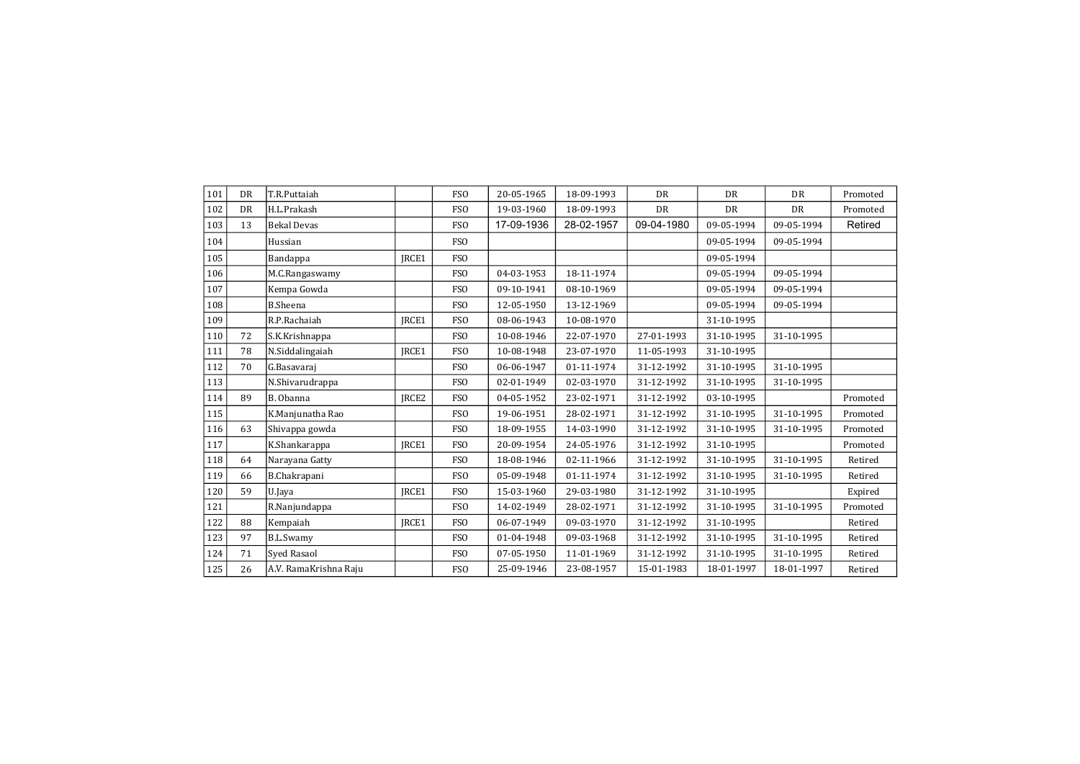| 101 | <b>DR</b> | T.R.Puttaiah          |       | <b>FSO</b>       | 20-05-1965 | 18-09-1993 | <b>DR</b>  | <b>DR</b>  | <b>DR</b>  | Promoted |
|-----|-----------|-----------------------|-------|------------------|------------|------------|------------|------------|------------|----------|
| 102 | <b>DR</b> | H.L.Prakash           |       | FSO <sub>1</sub> | 19-03-1960 | 18-09-1993 | <b>DR</b>  | <b>DR</b>  | <b>DR</b>  | Promoted |
| 103 | 13        | <b>Bekal Devas</b>    |       | <b>FSO</b>       | 17-09-1936 | 28-02-1957 | 09-04-1980 | 09-05-1994 | 09-05-1994 | Retired  |
| 104 |           | Hussian               |       | <b>FSO</b>       |            |            |            | 09-05-1994 | 09-05-1994 |          |
| 105 |           | Bandappa              | IRCE1 | <b>FSO</b>       |            |            |            | 09-05-1994 |            |          |
| 106 |           | M.C.Rangaswamy        |       | <b>FSO</b>       | 04-03-1953 | 18-11-1974 |            | 09-05-1994 | 09-05-1994 |          |
| 107 |           | Kempa Gowda           |       | <b>FSO</b>       | 09-10-1941 | 08-10-1969 |            | 09-05-1994 | 09-05-1994 |          |
| 108 |           | <b>B.Sheena</b>       |       | <b>FSO</b>       | 12-05-1950 | 13-12-1969 |            | 09-05-1994 | 09-05-1994 |          |
| 109 |           | R.P.Rachaiah          | IRCE1 | <b>FSO</b>       | 08-06-1943 | 10-08-1970 |            | 31-10-1995 |            |          |
| 110 | 72        | S.K.Krishnappa        |       | <b>FSO</b>       | 10-08-1946 | 22-07-1970 | 27-01-1993 | 31-10-1995 | 31-10-1995 |          |
| 111 | 78        | N.Siddalingaiah       | JRCE1 | <b>FSO</b>       | 10-08-1948 | 23-07-1970 | 11-05-1993 | 31-10-1995 |            |          |
| 112 | 70        | G.Basavaraj           |       | <b>FSO</b>       | 06-06-1947 | 01-11-1974 | 31-12-1992 | 31-10-1995 | 31-10-1995 |          |
| 113 |           | N.Shivarudrappa       |       | <b>FSO</b>       | 02-01-1949 | 02-03-1970 | 31-12-1992 | 31-10-1995 | 31-10-1995 |          |
| 114 | 89        | B. Obanna             | JRCE2 | <b>FSO</b>       | 04-05-1952 | 23-02-1971 | 31-12-1992 | 03-10-1995 |            | Promoted |
| 115 |           | K.Manjunatha Rao      |       | <b>FSO</b>       | 19-06-1951 | 28-02-1971 | 31-12-1992 | 31-10-1995 | 31-10-1995 | Promoted |
| 116 | 63        | Shivappa gowda        |       | <b>FSO</b>       | 18-09-1955 | 14-03-1990 | 31-12-1992 | 31-10-1995 | 31-10-1995 | Promoted |
| 117 |           | K.Shankarappa         | IRCE1 | <b>FSO</b>       | 20-09-1954 | 24-05-1976 | 31-12-1992 | 31-10-1995 |            | Promoted |
| 118 | 64        | Narayana Gatty        |       | <b>FSO</b>       | 18-08-1946 | 02-11-1966 | 31-12-1992 | 31-10-1995 | 31-10-1995 | Retired  |
| 119 | 66        | B.Chakrapani          |       | <b>FSO</b>       | 05-09-1948 | 01-11-1974 | 31-12-1992 | 31-10-1995 | 31-10-1995 | Retired  |
| 120 | 59        | U.Java                | IRCE1 | <b>FSO</b>       | 15-03-1960 | 29-03-1980 | 31-12-1992 | 31-10-1995 |            | Expired  |
| 121 |           | R.Nanjundappa         |       | <b>FSO</b>       | 14-02-1949 | 28-02-1971 | 31-12-1992 | 31-10-1995 | 31-10-1995 | Promoted |
| 122 | 88        | Kempaiah              | IRCE1 | <b>FSO</b>       | 06-07-1949 | 09-03-1970 | 31-12-1992 | 31-10-1995 |            | Retired  |
| 123 | 97        | <b>B.L.Swamy</b>      |       | <b>FSO</b>       | 01-04-1948 | 09-03-1968 | 31-12-1992 | 31-10-1995 | 31-10-1995 | Retired  |
| 124 | 71        | <b>Syed Rasaol</b>    |       | <b>FSO</b>       | 07-05-1950 | 11-01-1969 | 31-12-1992 | 31-10-1995 | 31-10-1995 | Retired  |
| 125 | 26        | A.V. RamaKrishna Raju |       | <b>FSO</b>       | 25-09-1946 | 23-08-1957 | 15-01-1983 | 18-01-1997 | 18-01-1997 | Retired  |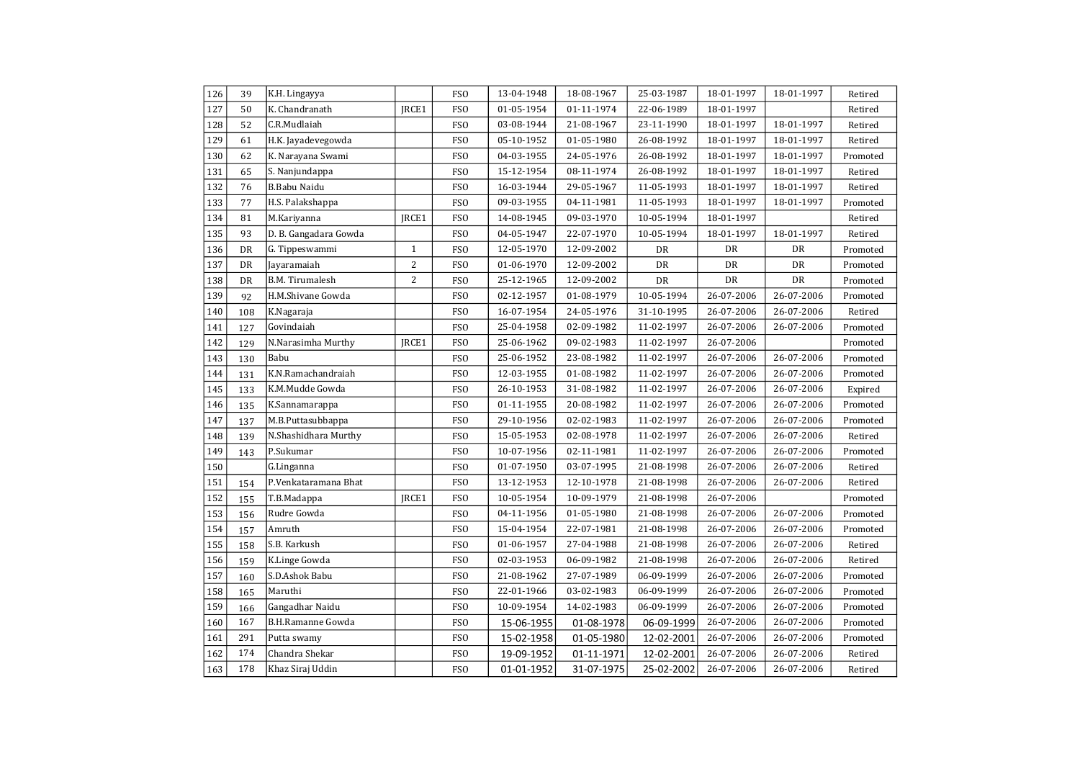| 126 | 39        | K.H. Lingayya            |                | FSO             | 13-04-1948 | 18-08-1967 | 25-03-1987 | 18-01-1997 | 18-01-1997 | Retired  |
|-----|-----------|--------------------------|----------------|-----------------|------------|------------|------------|------------|------------|----------|
| 127 | 50        | K. Chandranath           | JRCE1          | FSO             | 01-05-1954 | 01-11-1974 | 22-06-1989 | 18-01-1997 |            | Retired  |
| 128 | 52        | C.R.Mudlaiah             |                | <b>FSO</b>      | 03-08-1944 | 21-08-1967 | 23-11-1990 | 18-01-1997 | 18-01-1997 | Retired  |
| 129 | 61        | H.K. Jayadevegowda       |                | FS <sub>0</sub> | 05-10-1952 | 01-05-1980 | 26-08-1992 | 18-01-1997 | 18-01-1997 | Retired  |
| 130 | 62        | K. Narayana Swami        |                | FS <sub>0</sub> | 04-03-1955 | 24-05-1976 | 26-08-1992 | 18-01-1997 | 18-01-1997 | Promoted |
| 131 | 65        | S. Nanjundappa           |                | <b>FSO</b>      | 15-12-1954 | 08-11-1974 | 26-08-1992 | 18-01-1997 | 18-01-1997 | Retired  |
| 132 | 76        | B.Babu Naidu             |                | <b>FSO</b>      | 16-03-1944 | 29-05-1967 | 11-05-1993 | 18-01-1997 | 18-01-1997 | Retired  |
| 133 | 77        | H.S. Palakshappa         |                | <b>FSO</b>      | 09-03-1955 | 04-11-1981 | 11-05-1993 | 18-01-1997 | 18-01-1997 | Promoted |
| 134 | 81        | M.Kariyanna              | JRCE1          | <b>FSO</b>      | 14-08-1945 | 09-03-1970 | 10-05-1994 | 18-01-1997 |            | Retired  |
| 135 | 93        | D. B. Gangadara Gowda    |                | <b>FSO</b>      | 04-05-1947 | 22-07-1970 | 10-05-1994 | 18-01-1997 | 18-01-1997 | Retired  |
| 136 | DR        | G. Tippeswammi           | $\mathbf{1}$   | <b>FSO</b>      | 12-05-1970 | 12-09-2002 | DR         | DR         | DR         | Promoted |
| 137 | DR        | Jayaramaiah              | $\overline{c}$ | <b>FSO</b>      | 01-06-1970 | 12-09-2002 | DR         | DR         | DR         | Promoted |
| 138 | <b>DR</b> | <b>B.M. Tirumalesh</b>   | 2              | <b>FSO</b>      | 25-12-1965 | 12-09-2002 | DR         | <b>DR</b>  | DR         | Promoted |
| 139 | 92        | H.M.Shivane Gowda        |                | <b>FSO</b>      | 02-12-1957 | 01-08-1979 | 10-05-1994 | 26-07-2006 | 26-07-2006 | Promoted |
| 140 | 108       | K.Nagaraja               |                | <b>FSO</b>      | 16-07-1954 | 24-05-1976 | 31-10-1995 | 26-07-2006 | 26-07-2006 | Retired  |
| 141 | 127       | Govindaiah               |                | FS <sub>0</sub> | 25-04-1958 | 02-09-1982 | 11-02-1997 | 26-07-2006 | 26-07-2006 | Promoted |
| 142 | 129       | N.Narasimha Murthy       | JRCE1          | FS <sub>0</sub> | 25-06-1962 | 09-02-1983 | 11-02-1997 | 26-07-2006 |            | Promoted |
| 143 | 130       | Babu                     |                | FS <sub>0</sub> | 25-06-1952 | 23-08-1982 | 11-02-1997 | 26-07-2006 | 26-07-2006 | Promoted |
| 144 | 131       | K.N.Ramachandraiah       |                | FS <sub>0</sub> | 12-03-1955 | 01-08-1982 | 11-02-1997 | 26-07-2006 | 26-07-2006 | Promoted |
| 145 | 133       | K.M.Mudde Gowda          |                | <b>FSO</b>      | 26-10-1953 | 31-08-1982 | 11-02-1997 | 26-07-2006 | 26-07-2006 | Expired  |
| 146 | 135       | K.Sannamarappa           |                | <b>FSO</b>      | 01-11-1955 | 20-08-1982 | 11-02-1997 | 26-07-2006 | 26-07-2006 | Promoted |
| 147 | 137       | M.B.Puttasubbappa        |                | <b>FSO</b>      | 29-10-1956 | 02-02-1983 | 11-02-1997 | 26-07-2006 | 26-07-2006 | Promoted |
| 148 | 139       | N.Shashidhara Murthy     |                | <b>FSO</b>      | 15-05-1953 | 02-08-1978 | 11-02-1997 | 26-07-2006 | 26-07-2006 | Retired  |
| 149 | 143       | P.Sukumar                |                | <b>FSO</b>      | 10-07-1956 | 02-11-1981 | 11-02-1997 | 26-07-2006 | 26-07-2006 | Promoted |
| 150 |           | G.Linganna               |                | <b>FSO</b>      | 01-07-1950 | 03-07-1995 | 21-08-1998 | 26-07-2006 | 26-07-2006 | Retired  |
| 151 | 154       | P.Venkataramana Bhat     |                | <b>FSO</b>      | 13-12-1953 | 12-10-1978 | 21-08-1998 | 26-07-2006 | 26-07-2006 | Retired  |
| 152 | 155       | T.B.Madappa              | JRCE1          | <b>FSO</b>      | 10-05-1954 | 10-09-1979 | 21-08-1998 | 26-07-2006 |            | Promoted |
| 153 | 156       | Rudre Gowda              |                | <b>FSO</b>      | 04-11-1956 | 01-05-1980 | 21-08-1998 | 26-07-2006 | 26-07-2006 | Promoted |
| 154 | 157       | Amruth                   |                | FS <sub>0</sub> | 15-04-1954 | 22-07-1981 | 21-08-1998 | 26-07-2006 | 26-07-2006 | Promoted |
| 155 | 158       | S.B. Karkush             |                | FS <sub>0</sub> | 01-06-1957 | 27-04-1988 | 21-08-1998 | 26-07-2006 | 26-07-2006 | Retired  |
| 156 | 159       | K.Linge Gowda            |                | <b>FSO</b>      | 02-03-1953 | 06-09-1982 | 21-08-1998 | 26-07-2006 | 26-07-2006 | Retired  |
| 157 | 160       | S.D.Ashok Babu           |                | <b>FSO</b>      | 21-08-1962 | 27-07-1989 | 06-09-1999 | 26-07-2006 | 26-07-2006 | Promoted |
| 158 | 165       | Maruthi                  |                | <b>FSO</b>      | 22-01-1966 | 03-02-1983 | 06-09-1999 | 26-07-2006 | 26-07-2006 | Promoted |
| 159 | 166       | Gangadhar Naidu          |                | <b>FSO</b>      | 10-09-1954 | 14-02-1983 | 06-09-1999 | 26-07-2006 | 26-07-2006 | Promoted |
| 160 | 167       | <b>B.H.Ramanne Gowda</b> |                | <b>FSO</b>      | 15-06-1955 | 01-08-1978 | 06-09-1999 | 26-07-2006 | 26-07-2006 | Promoted |
| 161 | 291       | Putta swamy              |                | <b>FSO</b>      | 15-02-1958 | 01-05-1980 | 12-02-2001 | 26-07-2006 | 26-07-2006 | Promoted |
| 162 | 174       | Chandra Shekar           |                | FS <sub>O</sub> | 19-09-1952 | 01-11-1971 | 12-02-2001 | 26-07-2006 | 26-07-2006 | Retired  |
| 163 | 178       | Khaz Siraj Uddin         |                | <b>FSO</b>      | 01-01-1952 | 31-07-1975 | 25-02-2002 | 26-07-2006 | 26-07-2006 | Retired  |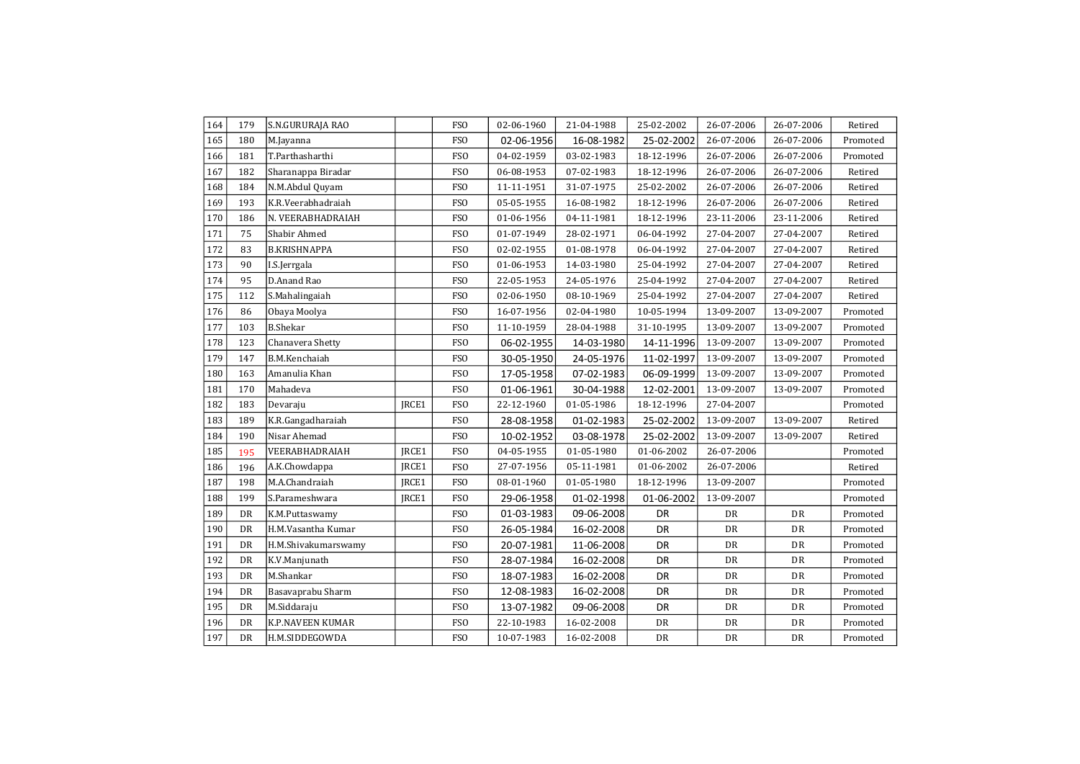| 164 | 179       | S.N.GURURAJA RAO        |       | <b>FSO</b>      | 02-06-1960 | 21-04-1988 | 25-02-2002 | 26-07-2006 | 26-07-2006 | Retired  |
|-----|-----------|-------------------------|-------|-----------------|------------|------------|------------|------------|------------|----------|
| 165 | 180       | M.Jayanna               |       | <b>FSO</b>      | 02-06-1956 | 16-08-1982 | 25-02-2002 | 26-07-2006 | 26-07-2006 | Promoted |
| 166 | 181       | T.Parthasharthi         |       | FSO             | 04-02-1959 | 03-02-1983 | 18-12-1996 | 26-07-2006 | 26-07-2006 | Promoted |
| 167 | 182       | Sharanappa Biradar      |       | <b>FSO</b>      | 06-08-1953 | 07-02-1983 | 18-12-1996 | 26-07-2006 | 26-07-2006 | Retired  |
| 168 | 184       | N.M.Abdul Quyam         |       | FS <sub>0</sub> | 11-11-1951 | 31-07-1975 | 25-02-2002 | 26-07-2006 | 26-07-2006 | Retired  |
| 169 | 193       | K.R.Veerabhadraiah      |       | <b>FSO</b>      | 05-05-1955 | 16-08-1982 | 18-12-1996 | 26-07-2006 | 26-07-2006 | Retired  |
| 170 | 186       | N. VEERABHADRAIAH       |       | <b>FSO</b>      | 01-06-1956 | 04-11-1981 | 18-12-1996 | 23-11-2006 | 23-11-2006 | Retired  |
| 171 | 75        | Shabir Ahmed            |       | <b>FSO</b>      | 01-07-1949 | 28-02-1971 | 06-04-1992 | 27-04-2007 | 27-04-2007 | Retired  |
| 172 | 83        | <b>B.KRISHNAPPA</b>     |       | <b>FSO</b>      | 02-02-1955 | 01-08-1978 | 06-04-1992 | 27-04-2007 | 27-04-2007 | Retired  |
| 173 | 90        | I.S.Jerrgala            |       | <b>FSO</b>      | 01-06-1953 | 14-03-1980 | 25-04-1992 | 27-04-2007 | 27-04-2007 | Retired  |
| 174 | 95        | D.Anand Rao             |       | <b>FSO</b>      | 22-05-1953 | 24-05-1976 | 25-04-1992 | 27-04-2007 | 27-04-2007 | Retired  |
| 175 | 112       | S.Mahalingaiah          |       | <b>FSO</b>      | 02-06-1950 | 08-10-1969 | 25-04-1992 | 27-04-2007 | 27-04-2007 | Retired  |
| 176 | 86        | Obaya Moolya            |       | <b>FSO</b>      | 16-07-1956 | 02-04-1980 | 10-05-1994 | 13-09-2007 | 13-09-2007 | Promoted |
| 177 | 103       | <b>B.Shekar</b>         |       | <b>FSO</b>      | 11-10-1959 | 28-04-1988 | 31-10-1995 | 13-09-2007 | 13-09-2007 | Promoted |
| 178 | 123       | Chanavera Shetty        |       | FSO             | 06-02-1955 | 14-03-1980 | 14-11-1996 | 13-09-2007 | 13-09-2007 | Promoted |
| 179 | 147       | B.M.Kenchaiah           |       | <b>FSO</b>      | 30-05-1950 | 24-05-1976 | 11-02-1997 | 13-09-2007 | 13-09-2007 | Promoted |
| 180 | 163       | Amanulia Khan           |       | <b>FSO</b>      | 17-05-1958 | 07-02-1983 | 06-09-1999 | 13-09-2007 | 13-09-2007 | Promoted |
| 181 | 170       | Mahadeva                |       | <b>FSO</b>      | 01-06-1961 | 30-04-1988 | 12-02-2001 | 13-09-2007 | 13-09-2007 | Promoted |
| 182 | 183       | Devaraju                | JRCE1 | FSO             | 22-12-1960 | 01-05-1986 | 18-12-1996 | 27-04-2007 |            | Promoted |
| 183 | 189       | K.R.Gangadharaiah       |       | FS <sub>O</sub> | 28-08-1958 | 01-02-1983 | 25-02-2002 | 13-09-2007 | 13-09-2007 | Retired  |
| 184 | 190       | Nisar Ahemad            |       | <b>FSO</b>      | 10-02-1952 | 03-08-1978 | 25-02-2002 | 13-09-2007 | 13-09-2007 | Retired  |
| 185 | 195       | VEERABHADRAIAH          | JRCE1 | <b>FSO</b>      | 04-05-1955 | 01-05-1980 | 01-06-2002 | 26-07-2006 |            | Promoted |
| 186 | 196       | A.K.Chowdappa           | JRCE1 | <b>FSO</b>      | 27-07-1956 | 05-11-1981 | 01-06-2002 | 26-07-2006 |            | Retired  |
| 187 | 198       | M.A.Chandraiah          | JRCE1 | <b>FSO</b>      | 08-01-1960 | 01-05-1980 | 18-12-1996 | 13-09-2007 |            | Promoted |
| 188 | 199       | S.Parameshwara          | IRCE1 | <b>FSO</b>      | 29-06-1958 | 01-02-1998 | 01-06-2002 | 13-09-2007 |            | Promoted |
| 189 | <b>DR</b> | K.M.Puttaswamy          |       | <b>FSO</b>      | 01-03-1983 | 09-06-2008 | <b>DR</b>  | DR         | <b>DR</b>  | Promoted |
| 190 | DR        | H.M.Vasantha Kumar      |       | <b>FSO</b>      | 26-05-1984 | 16-02-2008 | DR         | DR         | DR         | Promoted |
| 191 | <b>DR</b> | H.M.Shivakumarswamy     |       | <b>FSO</b>      | 20-07-1981 | 11-06-2008 | DR         | <b>DR</b>  | <b>DR</b>  | Promoted |
| 192 | <b>DR</b> | K.V.Manjunath           |       | <b>FSO</b>      | 28-07-1984 | 16-02-2008 | DR         | DR         | DR         | Promoted |
| 193 | <b>DR</b> | M.Shankar               |       | <b>FSO</b>      | 18-07-1983 | 16-02-2008 | DR         | DR         | DR         | Promoted |
| 194 | <b>DR</b> | Basavaprabu Sharm       |       | FSO             | 12-08-1983 | 16-02-2008 | DR         | DR         | DR         | Promoted |
| 195 | DR        | M.Siddaraju             |       | <b>FSO</b>      | 13-07-1982 | 09-06-2008 | DR         | DR         | DR         | Promoted |
| 196 | DR        | <b>K.P.NAVEEN KUMAR</b> |       | <b>FSO</b>      | 22-10-1983 | 16-02-2008 | DR         | DR         | DR         | Promoted |
| 197 | <b>DR</b> | H.M.SIDDEGOWDA          |       | <b>FSO</b>      | 10-07-1983 | 16-02-2008 | DR         | DR         | DR         | Promoted |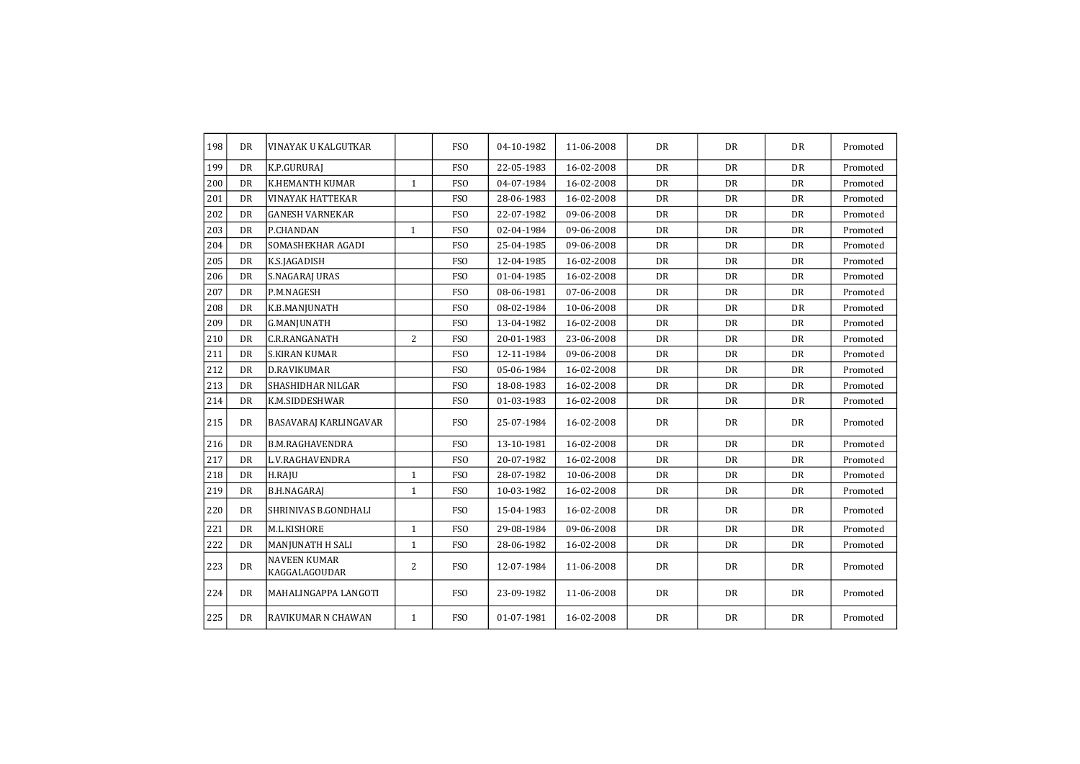| 198 | <b>DR</b> | VINAYAK U KALGUTKAR                  |                | <b>FSO</b>      | 04-10-1982 | 11-06-2008 | DR        | DR        | <b>DR</b> | Promoted |
|-----|-----------|--------------------------------------|----------------|-----------------|------------|------------|-----------|-----------|-----------|----------|
| 199 | DR        | K.P.GURURAJ                          |                | FS <sub>O</sub> | 22-05-1983 | 16-02-2008 | <b>DR</b> | <b>DR</b> | <b>DR</b> | Promoted |
| 200 | <b>DR</b> | K.HEMANTH KUMAR                      | 1              | FS <sub>O</sub> | 04-07-1984 | 16-02-2008 | DR        | DR        | DR        | Promoted |
| 201 | <b>DR</b> | <b>VINAYAK HATTEKAR</b>              |                | <b>FSO</b>      | 28-06-1983 | 16-02-2008 | <b>DR</b> | DR        | <b>DR</b> | Promoted |
| 202 | DR        | <b>GANESH VARNEKAR</b>               |                | <b>FSO</b>      | 22-07-1982 | 09-06-2008 | <b>DR</b> | DR        | <b>DR</b> | Promoted |
| 203 | DR        | P.CHANDAN                            | $\mathbf{1}$   | <b>FSO</b>      | 02-04-1984 | 09-06-2008 | DR        | <b>DR</b> | DR        | Promoted |
| 204 | <b>DR</b> | SOMASHEKHAR AGADI                    |                | <b>FSO</b>      | 25-04-1985 | 09-06-2008 | <b>DR</b> | DR        | <b>DR</b> | Promoted |
| 205 | DR        | K.S.JAGADISH                         |                | <b>FSO</b>      | 12-04-1985 | 16-02-2008 | DR        | DR        | <b>DR</b> | Promoted |
| 206 | DR        | S.NAGARAJ URAS                       |                | <b>FSO</b>      | 01-04-1985 | 16-02-2008 | DR        | <b>DR</b> | DR        | Promoted |
| 207 | <b>DR</b> | P.M.NAGESH                           |                | <b>FSO</b>      | 08-06-1981 | 07-06-2008 | <b>DR</b> | DR        | DR        | Promoted |
| 208 | DR        | K.B.MANJUNATH                        |                | FS <sub>O</sub> | 08-02-1984 | 10-06-2008 | DR        | DR        | <b>DR</b> | Promoted |
| 209 | <b>DR</b> | <b>G.MANJUNATH</b>                   |                | <b>FSO</b>      | 13-04-1982 | 16-02-2008 | DR        | <b>DR</b> | <b>DR</b> | Promoted |
| 210 | <b>DR</b> | C.R.RANGANATH                        | $\overline{2}$ | <b>FSO</b>      | 20-01-1983 | 23-06-2008 | <b>DR</b> | DR        | <b>DR</b> | Promoted |
| 211 | <b>DR</b> | <b>S.KIRAN KUMAR</b>                 |                | <b>FSO</b>      | 12-11-1984 | 09-06-2008 | <b>DR</b> | DR        | DR        | Promoted |
| 212 | DR        | <b>D.RAVIKUMAR</b>                   |                | <b>FSO</b>      | 05-06-1984 | 16-02-2008 | DR        | <b>DR</b> | DR        | Promoted |
| 213 | <b>DR</b> | SHASHIDHAR NILGAR                    |                | <b>FSO</b>      | 18-08-1983 | 16-02-2008 | <b>DR</b> | DR        | <b>DR</b> | Promoted |
| 214 | DR        | K.M.SIDDESHWAR                       |                | <b>FSO</b>      | 01-03-1983 | 16-02-2008 | DR        | DR        | <b>DR</b> | Promoted |
| 215 | <b>DR</b> | BASAVARAJ KARLINGAVAR                |                | <b>FSO</b>      | 25-07-1984 | 16-02-2008 | <b>DR</b> | DR        | <b>DR</b> | Promoted |
| 216 | <b>DR</b> | <b>B.M.RAGHAVENDRA</b>               |                | <b>FSO</b>      | 13-10-1981 | 16-02-2008 | DR        | <b>DR</b> | DR        | Promoted |
| 217 | <b>DR</b> | L.V.RAGHAVENDRA                      |                | <b>FSO</b>      | 20-07-1982 | 16-02-2008 | DR        | DR        | DR        | Promoted |
| 218 | <b>DR</b> | H.RAJU                               | $\mathbf{1}$   | <b>FSO</b>      | 28-07-1982 | 10-06-2008 | <b>DR</b> | DR        | <b>DR</b> | Promoted |
| 219 | DR        | <b>B.H.NAGARAJ</b>                   | $\mathbf{1}$   | <b>FSO</b>      | 10-03-1982 | 16-02-2008 | DR        | DR        | DR        | Promoted |
| 220 | <b>DR</b> | SHRINIVAS B.GONDHALI                 |                | <b>FSO</b>      | 15-04-1983 | 16-02-2008 | <b>DR</b> | DR        | <b>DR</b> | Promoted |
| 221 | <b>DR</b> | M.L.KISHORE                          | 1              | <b>FSO</b>      | 29-08-1984 | 09-06-2008 | <b>DR</b> | DR        | <b>DR</b> | Promoted |
| 222 | <b>DR</b> | MANJUNATH H SALI                     | $\mathbf{1}$   | <b>FSO</b>      | 28-06-1982 | 16-02-2008 | <b>DR</b> | DR        | <b>DR</b> | Promoted |
| 223 | <b>DR</b> | <b>NAVEEN KUMAR</b><br>KAGGALAGOUDAR | 2              | <b>FSO</b>      | 12-07-1984 | 11-06-2008 | <b>DR</b> | DR        | <b>DR</b> | Promoted |
| 224 | <b>DR</b> | MAHALINGAPPA LANGOTI                 |                | <b>FSO</b>      | 23-09-1982 | 11-06-2008 | DR        | DR        | DR        | Promoted |
| 225 | <b>DR</b> | RAVIKUMAR N CHAWAN                   | $\mathbf{1}$   | <b>FSO</b>      | 01-07-1981 | 16-02-2008 | DR        | DR        | DR        | Promoted |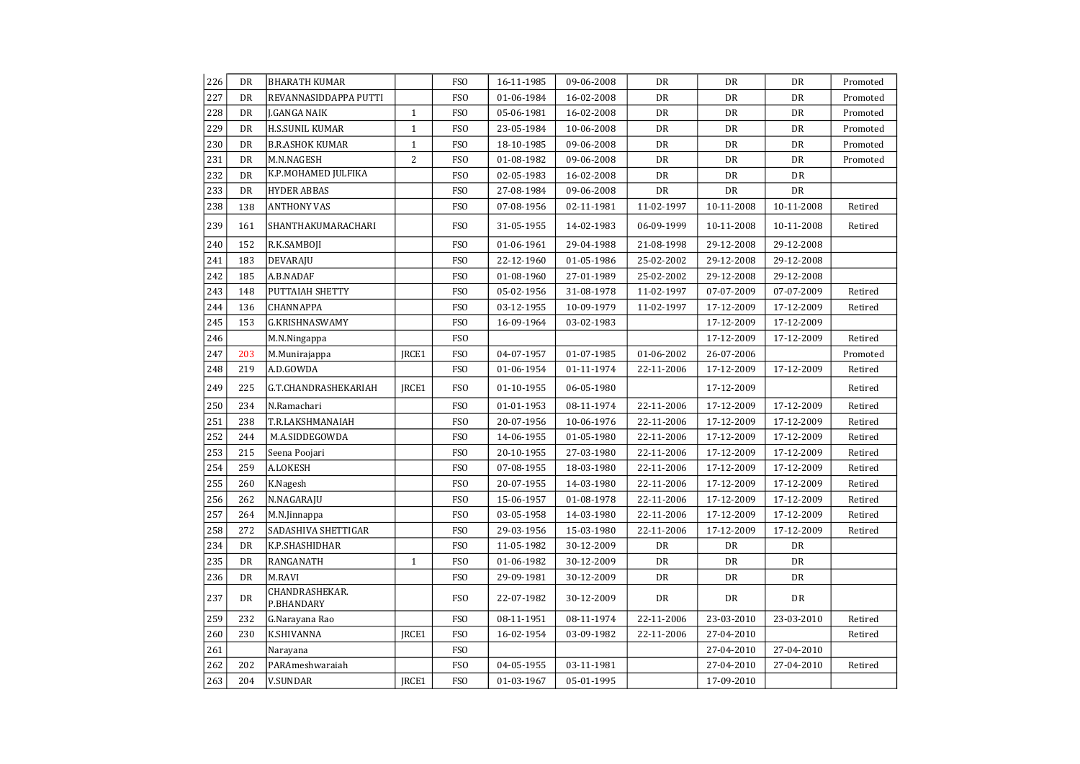| 226 | DR        | <b>BHARATH KUMAR</b>         |                | FS <sub>O</sub> | 16-11-1985 | 09-06-2008 | DR         | DR         | DR         | Promoted |
|-----|-----------|------------------------------|----------------|-----------------|------------|------------|------------|------------|------------|----------|
| 227 | DR        | REVANNASIDDAPPA PUTTI        |                | <b>FSO</b>      | 01-06-1984 | 16-02-2008 | DR         | DR         | DR         | Promoted |
| 228 | DR        | J.GANGA NAIK                 | $\mathbf{1}$   | FS <sub>O</sub> | 05-06-1981 | 16-02-2008 | DR         | DR         | DR         | Promoted |
| 229 | DR        | <b>H.S.SUNIL KUMAR</b>       | $\mathbf{1}$   | FS <sub>0</sub> | 23-05-1984 | 10-06-2008 | DR         | DR         | DR         | Promoted |
| 230 | DR        | <b>B.R.ASHOK KUMAR</b>       | $\mathbf{1}$   | FS <sub>O</sub> | 18-10-1985 | 09-06-2008 | DR         | DR         | DR         | Promoted |
| 231 | DR        | M.N.NAGESH                   | $\overline{c}$ | FSO             | 01-08-1982 | 09-06-2008 | DR         | DR         | DR         | Promoted |
| 232 | DR        | K.P.MOHAMED JULFIKA          |                | FS <sub>O</sub> | 02-05-1983 | 16-02-2008 | DR         | DR         | DR         |          |
| 233 | DR        | <b>HYDER ABBAS</b>           |                | FS <sub>O</sub> | 27-08-1984 | 09-06-2008 | DR         | DR         | DR         |          |
| 238 | 138       | <b>ANTHONY VAS</b>           |                | FS <sub>0</sub> | 07-08-1956 | 02-11-1981 | 11-02-1997 | 10-11-2008 | 10-11-2008 | Retired  |
| 239 | 161       | SHANTHAKUMARACHARI           |                | FSO             | 31-05-1955 | 14-02-1983 | 06-09-1999 | 10-11-2008 | 10-11-2008 | Retired  |
| 240 | 152       | R.K.SAMBOJI                  |                | <b>FSO</b>      | 01-06-1961 | 29-04-1988 | 21-08-1998 | 29-12-2008 | 29-12-2008 |          |
| 241 | 183       | DEVARAJU                     |                | <b>FSO</b>      | 22-12-1960 | 01-05-1986 | 25-02-2002 | 29-12-2008 | 29-12-2008 |          |
| 242 | 185       | A.B.NADAF                    |                | FS <sub>O</sub> | 01-08-1960 | 27-01-1989 | 25-02-2002 | 29-12-2008 | 29-12-2008 |          |
| 243 | 148       | PUTTAIAH SHETTY              |                | FS <sub>0</sub> | 05-02-1956 | 31-08-1978 | 11-02-1997 | 07-07-2009 | 07-07-2009 | Retired  |
| 244 | 136       | CHANNAPPA                    |                | <b>FSO</b>      | 03-12-1955 | 10-09-1979 | 11-02-1997 | 17-12-2009 | 17-12-2009 | Retired  |
| 245 | 153       | G.KRISHNASWAMY               |                | FS <sub>0</sub> | 16-09-1964 | 03-02-1983 |            | 17-12-2009 | 17-12-2009 |          |
| 246 |           | M.N.Ningappa                 |                | FS <sub>0</sub> |            |            |            | 17-12-2009 | 17-12-2009 | Retired  |
| 247 | 203       | M.Munirajappa                | JRCE1          | FS <sub>0</sub> | 04-07-1957 | 01-07-1985 | 01-06-2002 | 26-07-2006 |            | Promoted |
| 248 | 219       | A.D.GOWDA                    |                | <b>FSO</b>      | 01-06-1954 | 01-11-1974 | 22-11-2006 | 17-12-2009 | 17-12-2009 | Retired  |
| 249 | 225       | G.T.CHANDRASHEKARIAH         | JRCE1          | <b>FSO</b>      | 01-10-1955 | 06-05-1980 |            | 17-12-2009 |            | Retired  |
| 250 | 234       | N.Ramachari                  |                | FS <sub>O</sub> | 01-01-1953 | 08-11-1974 | 22-11-2006 | 17-12-2009 | 17-12-2009 | Retired  |
| 251 | 238       | T.R.LAKSHMANAIAH             |                | FS <sub>O</sub> | 20-07-1956 | 10-06-1976 | 22-11-2006 | 17-12-2009 | 17-12-2009 | Retired  |
| 252 | 244       | M.A.SIDDEGOWDA               |                | FSO             | 14-06-1955 | 01-05-1980 | 22-11-2006 | 17-12-2009 | 17-12-2009 | Retired  |
| 253 | 215       | Seena Poojari                |                | FS <sub>O</sub> | 20-10-1955 | 27-03-1980 | 22-11-2006 | 17-12-2009 | 17-12-2009 | Retired  |
| 254 | 259       | A.LOKESH                     |                | FS <sub>0</sub> | 07-08-1955 | 18-03-1980 | 22-11-2006 | 17-12-2009 | 17-12-2009 | Retired  |
| 255 | 260       | K.Nagesh                     |                | FS <sub>O</sub> | 20-07-1955 | 14-03-1980 | 22-11-2006 | 17-12-2009 | 17-12-2009 | Retired  |
| 256 | 262       | N.NAGARAJU                   |                | FS <sub>O</sub> | 15-06-1957 | 01-08-1978 | 22-11-2006 | 17-12-2009 | 17-12-2009 | Retired  |
| 257 | 264       | M.N.Jinnappa                 |                | <b>FSO</b>      | 03-05-1958 | 14-03-1980 | 22-11-2006 | 17-12-2009 | 17-12-2009 | Retired  |
| 258 | 272       | SADASHIVA SHETTIGAR          |                | FS <sub>O</sub> | 29-03-1956 | 15-03-1980 | 22-11-2006 | 17-12-2009 | 17-12-2009 | Retired  |
| 234 | DR        | K.P.SHASHIDHAR               |                | FS <sub>O</sub> | 11-05-1982 | 30-12-2009 | DR         | DR         | DR         |          |
| 235 | <b>DR</b> | RANGANATH                    | $\mathbf{1}$   | <b>FSO</b>      | 01-06-1982 | 30-12-2009 | DR         | DR         | DR         |          |
| 236 | DR        | M.RAVI                       |                | FS <sub>0</sub> | 29-09-1981 | 30-12-2009 | DR         | DR         | DR         |          |
| 237 | DR        | CHANDRASHEKAR.<br>P.BHANDARY |                | <b>FSO</b>      | 22-07-1982 | 30-12-2009 | DR         | DR         | DR         |          |
| 259 | 232       | G.Narayana Rao               |                | FSO             | 08-11-1951 | 08-11-1974 | 22-11-2006 | 23-03-2010 | 23-03-2010 | Retired  |
| 260 | 230       | <b>K.SHIVANNA</b>            | JRCE1          | FS <sub>O</sub> | 16-02-1954 | 03-09-1982 | 22-11-2006 | 27-04-2010 |            | Retired  |
| 261 |           | Narayana                     |                | <b>FSO</b>      |            |            |            | 27-04-2010 | 27-04-2010 |          |
| 262 | 202       | PARAmeshwaraiah              |                | FS <sub>O</sub> | 04-05-1955 | 03-11-1981 |            | 27-04-2010 | 27-04-2010 | Retired  |
| 263 | 204       | <b>V.SUNDAR</b>              | JRCE1          | <b>FSO</b>      | 01-03-1967 | 05-01-1995 |            | 17-09-2010 |            |          |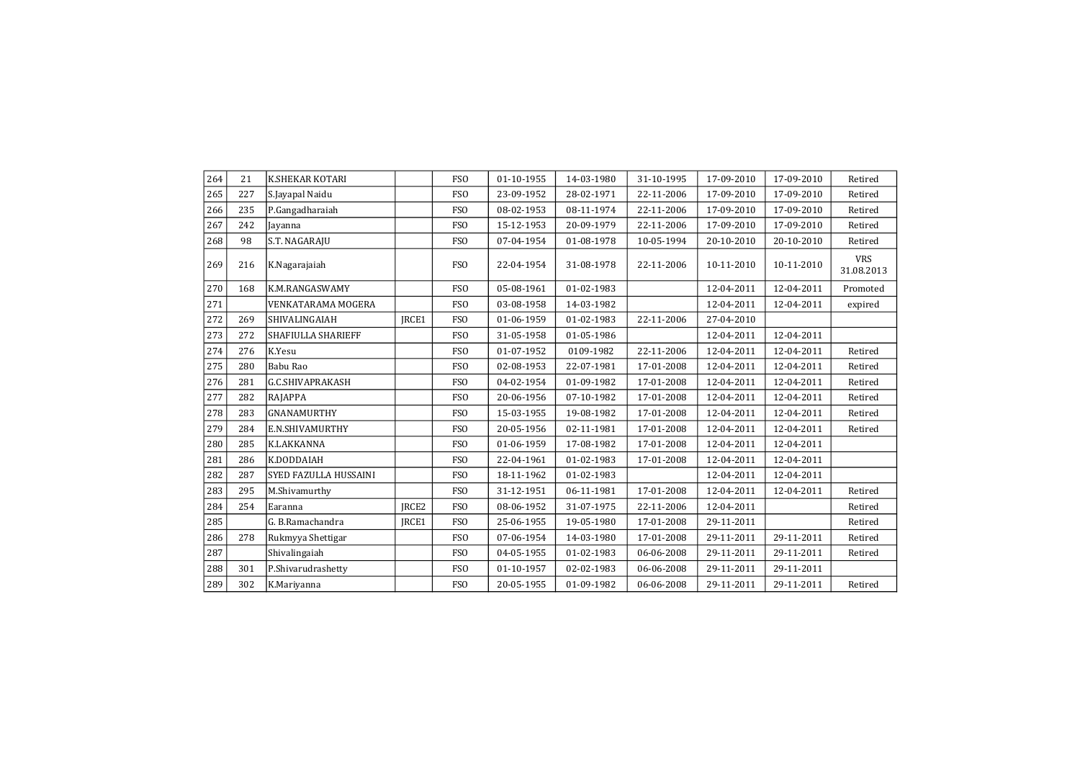| 264 | 21  | K.SHEKAR KOTARI              |                   | <b>FSO</b>      | 01-10-1955 | 14-03-1980 | 31-10-1995 | 17-09-2010 | 17-09-2010 | Retired                  |
|-----|-----|------------------------------|-------------------|-----------------|------------|------------|------------|------------|------------|--------------------------|
| 265 | 227 | S.Jayapal Naidu              |                   | <b>FSO</b>      | 23-09-1952 | 28-02-1971 | 22-11-2006 | 17-09-2010 | 17-09-2010 | Retired                  |
| 266 | 235 | P.Gangadharaiah              |                   | <b>FSO</b>      | 08-02-1953 | 08-11-1974 | 22-11-2006 | 17-09-2010 | 17-09-2010 | Retired                  |
| 267 | 242 | Jayanna                      |                   | <b>FSO</b>      | 15-12-1953 | 20-09-1979 | 22-11-2006 | 17-09-2010 | 17-09-2010 | Retired                  |
| 268 | 98  | S.T. NAGARAJU                |                   | <b>FSO</b>      | 07-04-1954 | 01-08-1978 | 10-05-1994 | 20-10-2010 | 20-10-2010 | Retired                  |
| 269 | 216 | K.Nagarajaiah                |                   | <b>FSO</b>      | 22-04-1954 | 31-08-1978 | 22-11-2006 | 10-11-2010 | 10-11-2010 | <b>VRS</b><br>31.08.2013 |
| 270 | 168 | K.M.RANGASWAMY               |                   | FS <sub>O</sub> | 05-08-1961 | 01-02-1983 |            | 12-04-2011 | 12-04-2011 | Promoted                 |
| 271 |     | <b>VENKATARAMA MOGERA</b>    |                   | <b>FSO</b>      | 03-08-1958 | 14-03-1982 |            | 12-04-2011 | 12-04-2011 | expired                  |
| 272 | 269 | SHIVALINGAIAH                | JRCE1             | <b>FSO</b>      | 01-06-1959 | 01-02-1983 | 22-11-2006 | 27-04-2010 |            |                          |
| 273 | 272 | <b>SHAFIULLA SHARIEFF</b>    |                   | <b>FSO</b>      | 31-05-1958 | 01-05-1986 |            | 12-04-2011 | 12-04-2011 |                          |
| 274 | 276 | K.Yesu                       |                   | <b>FSO</b>      | 01-07-1952 | 0109-1982  | 22-11-2006 | 12-04-2011 | 12-04-2011 | Retired                  |
| 275 | 280 | Babu Rao                     |                   | <b>FSO</b>      | 02-08-1953 | 22-07-1981 | 17-01-2008 | 12-04-2011 | 12-04-2011 | Retired                  |
| 276 | 281 | <b>G.C.SHIVAPRAKASH</b>      |                   | <b>FSO</b>      | 04-02-1954 | 01-09-1982 | 17-01-2008 | 12-04-2011 | 12-04-2011 | Retired                  |
| 277 | 282 | RAJAPPA                      |                   | <b>FSO</b>      | 20-06-1956 | 07-10-1982 | 17-01-2008 | 12-04-2011 | 12-04-2011 | Retired                  |
| 278 | 283 | <b>GNANAMURTHY</b>           |                   | <b>FSO</b>      | 15-03-1955 | 19-08-1982 | 17-01-2008 | 12-04-2011 | 12-04-2011 | Retired                  |
| 279 | 284 | E.N.SHIVAMURTHY              |                   | <b>FSO</b>      | 20-05-1956 | 02-11-1981 | 17-01-2008 | 12-04-2011 | 12-04-2011 | Retired                  |
| 280 | 285 | K.LAKKANNA                   |                   | <b>FSO</b>      | 01-06-1959 | 17-08-1982 | 17-01-2008 | 12-04-2011 | 12-04-2011 |                          |
| 281 | 286 | K.DODDAIAH                   |                   | <b>FSO</b>      | 22-04-1961 | 01-02-1983 | 17-01-2008 | 12-04-2011 | 12-04-2011 |                          |
| 282 | 287 | <b>SYED FAZULLA HUSSAINI</b> |                   | <b>FSO</b>      | 18-11-1962 | 01-02-1983 |            | 12-04-2011 | 12-04-2011 |                          |
| 283 | 295 | M.Shivamurthy                |                   | <b>FSO</b>      | 31-12-1951 | 06-11-1981 | 17-01-2008 | 12-04-2011 | 12-04-2011 | Retired                  |
| 284 | 254 | Earanna                      | IRCE <sub>2</sub> | <b>FSO</b>      | 08-06-1952 | 31-07-1975 | 22-11-2006 | 12-04-2011 |            | Retired                  |
| 285 |     | G. B.Ramachandra             | IRCE1             | <b>FSO</b>      | 25-06-1955 | 19-05-1980 | 17-01-2008 | 29-11-2011 |            | Retired                  |
| 286 | 278 | Rukmyya Shettigar            |                   | FS <sub>O</sub> | 07-06-1954 | 14-03-1980 | 17-01-2008 | 29-11-2011 | 29-11-2011 | Retired                  |
| 287 |     | Shivalingaiah                |                   | <b>FSO</b>      | 04-05-1955 | 01-02-1983 | 06-06-2008 | 29-11-2011 | 29-11-2011 | Retired                  |
| 288 | 301 | P.Shivarudrashetty           |                   | <b>FSO</b>      | 01-10-1957 | 02-02-1983 | 06-06-2008 | 29-11-2011 | 29-11-2011 |                          |
| 289 | 302 | K.Mariyanna                  |                   | <b>FSO</b>      | 20-05-1955 | 01-09-1982 | 06-06-2008 | 29-11-2011 | 29-11-2011 | Retired                  |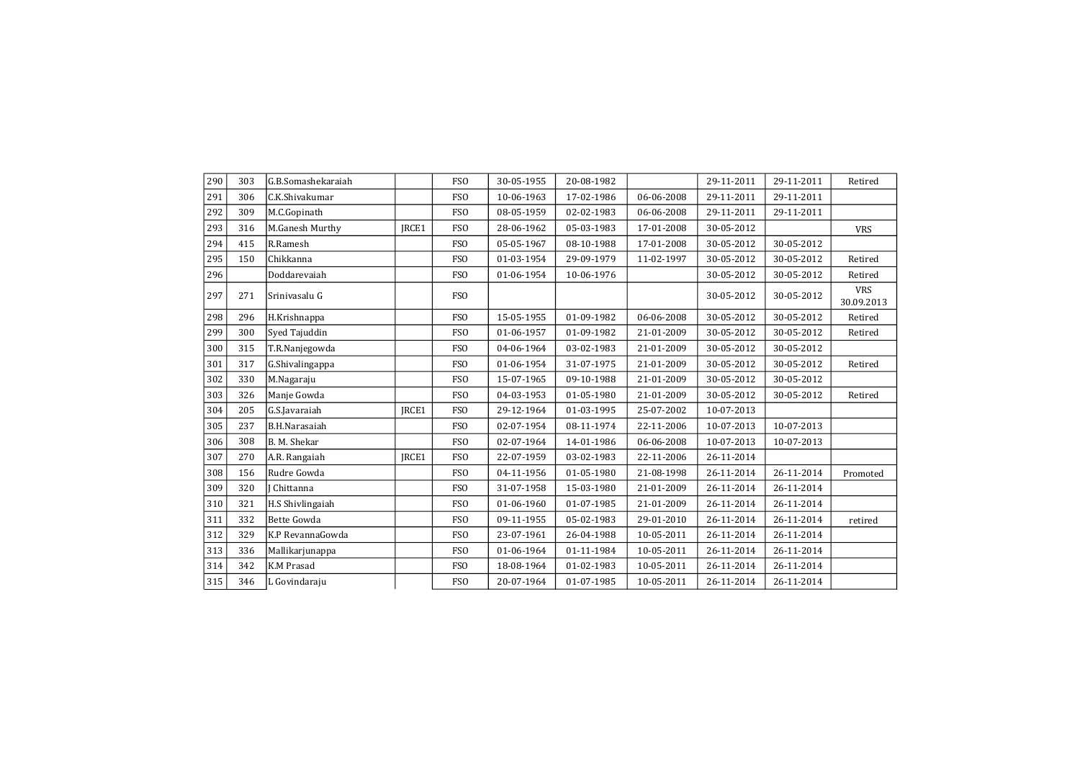| 290 | 303 | G.B.Somashekaraiah |              | <b>FSO</b>      | 30-05-1955 | 20-08-1982 |            | 29-11-2011 | 29-11-2011 | Retired                  |
|-----|-----|--------------------|--------------|-----------------|------------|------------|------------|------------|------------|--------------------------|
| 291 | 306 | C.K.Shivakumar     |              | <b>FSO</b>      | 10-06-1963 | 17-02-1986 | 06-06-2008 | 29-11-2011 | 29-11-2011 |                          |
| 292 | 309 | M.C.Gopinath       |              | <b>FSO</b>      | 08-05-1959 | 02-02-1983 | 06-06-2008 | 29-11-2011 | 29-11-2011 |                          |
| 293 | 316 | M.Ganesh Murthy    | IRCE1        | FS <sub>O</sub> | 28-06-1962 | 05-03-1983 | 17-01-2008 | 30-05-2012 |            | <b>VRS</b>               |
| 294 | 415 | R.Ramesh           |              | <b>FSO</b>      | 05-05-1967 | 08-10-1988 | 17-01-2008 | 30-05-2012 | 30-05-2012 |                          |
| 295 | 150 | Chikkanna          |              | <b>FSO</b>      | 01-03-1954 | 29-09-1979 | 11-02-1997 | 30-05-2012 | 30-05-2012 | Retired                  |
| 296 |     | Doddarevaiah       |              | <b>FSO</b>      | 01-06-1954 | 10-06-1976 |            | 30-05-2012 | 30-05-2012 | Retired                  |
| 297 | 271 | Srinivasalu G      |              | <b>FSO</b>      |            |            |            | 30-05-2012 | 30-05-2012 | <b>VRS</b><br>30.09.2013 |
| 298 | 296 | H.Krishnappa       |              | <b>FSO</b>      | 15-05-1955 | 01-09-1982 | 06-06-2008 | 30-05-2012 | 30-05-2012 | Retired                  |
| 299 | 300 | Syed Tajuddin      |              | <b>FSO</b>      | 01-06-1957 | 01-09-1982 | 21-01-2009 | 30-05-2012 | 30-05-2012 | Retired                  |
| 300 | 315 | T.R.Nanjegowda     |              | <b>FSO</b>      | 04-06-1964 | 03-02-1983 | 21-01-2009 | 30-05-2012 | 30-05-2012 |                          |
| 301 | 317 | G.Shivalingappa    |              | <b>FSO</b>      | 01-06-1954 | 31-07-1975 | 21-01-2009 | 30-05-2012 | 30-05-2012 | Retired                  |
| 302 | 330 | M.Nagaraju         |              | <b>FSO</b>      | 15-07-1965 | 09-10-1988 | 21-01-2009 | 30-05-2012 | 30-05-2012 |                          |
| 303 | 326 | Manje Gowda        |              | <b>FSO</b>      | 04-03-1953 | 01-05-1980 | 21-01-2009 | 30-05-2012 | 30-05-2012 | Retired                  |
| 304 | 205 | G.S.Javaraiah      | <b>IRCE1</b> | <b>FSO</b>      | 29-12-1964 | 01-03-1995 | 25-07-2002 | 10-07-2013 |            |                          |
| 305 | 237 | B.H.Narasaiah      |              | <b>FSO</b>      | 02-07-1954 | 08-11-1974 | 22-11-2006 | 10-07-2013 | 10-07-2013 |                          |
| 306 | 308 | B. M. Shekar       |              | <b>FSO</b>      | 02-07-1964 | 14-01-1986 | 06-06-2008 | 10-07-2013 | 10-07-2013 |                          |
| 307 | 270 | A.R. Rangaiah      | <b>IRCE1</b> | <b>FSO</b>      | 22-07-1959 | 03-02-1983 | 22-11-2006 | 26-11-2014 |            |                          |
| 308 | 156 | Rudre Gowda        |              | <b>FSO</b>      | 04-11-1956 | 01-05-1980 | 21-08-1998 | 26-11-2014 | 26-11-2014 | Promoted                 |
| 309 | 320 | I Chittanna        |              | <b>FSO</b>      | 31-07-1958 | 15-03-1980 | 21-01-2009 | 26-11-2014 | 26-11-2014 |                          |
| 310 | 321 | H.S Shivlingaiah   |              | <b>FSO</b>      | 01-06-1960 | 01-07-1985 | 21-01-2009 | 26-11-2014 | 26-11-2014 |                          |
| 311 | 332 | <b>Bette Gowda</b> |              | <b>FSO</b>      | 09-11-1955 | 05-02-1983 | 29-01-2010 | 26-11-2014 | 26-11-2014 | retired                  |
| 312 | 329 | K.P RevannaGowda   |              | FS <sub>O</sub> | 23-07-1961 | 26-04-1988 | 10-05-2011 | 26-11-2014 | 26-11-2014 |                          |
| 313 | 336 | Mallikarjunappa    |              | <b>FSO</b>      | 01-06-1964 | 01-11-1984 | 10-05-2011 | 26-11-2014 | 26-11-2014 |                          |
| 314 | 342 | <b>K.M Prasad</b>  |              | <b>FSO</b>      | 18-08-1964 | 01-02-1983 | 10-05-2011 | 26-11-2014 | 26-11-2014 |                          |
| 315 | 346 | L Govindaraju      |              | FSO             | 20-07-1964 | 01-07-1985 | 10-05-2011 | 26-11-2014 | 26-11-2014 |                          |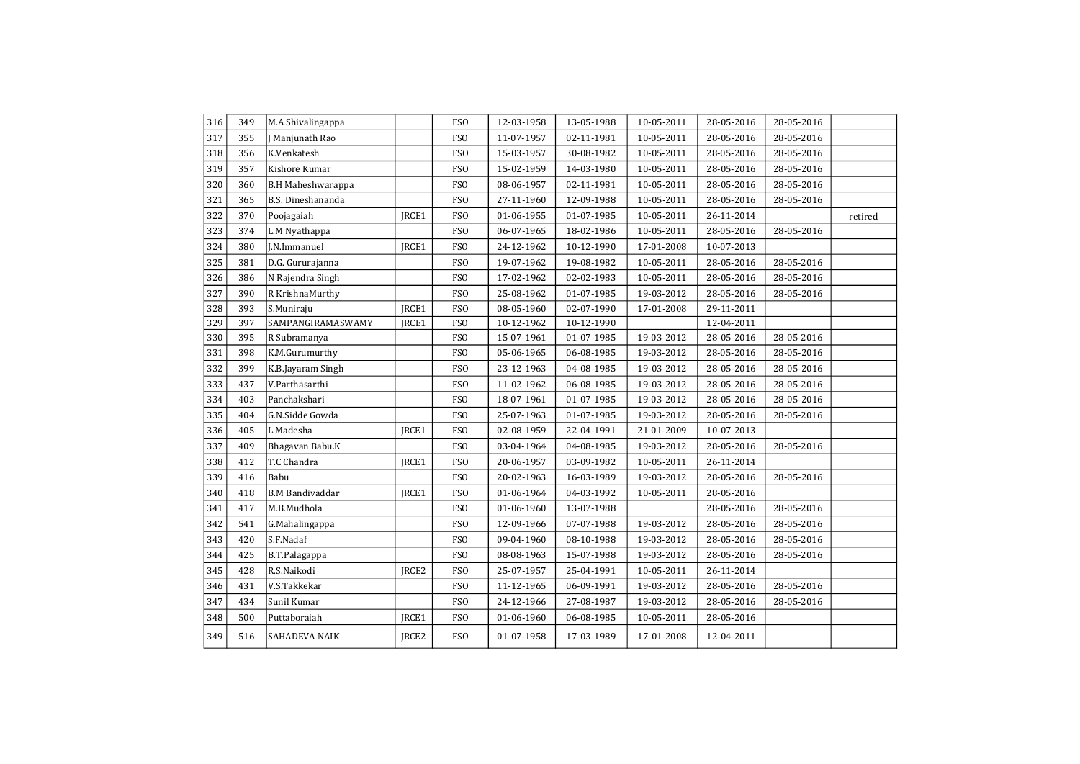| 316 | 349 | M.A Shivalingappa        |                   | <b>FSO</b>      | 12-03-1958 | 13-05-1988 | 10-05-2011 | 28-05-2016       | 28-05-2016 |         |
|-----|-----|--------------------------|-------------------|-----------------|------------|------------|------------|------------------|------------|---------|
| 317 | 355 | Manjunath Rao            |                   | <b>FSO</b>      | 11-07-1957 | 02-11-1981 | 10-05-2011 | 28-05-2016       | 28-05-2016 |         |
| 318 | 356 | K.Venkatesh              |                   | <b>FSO</b>      | 15-03-1957 | 30-08-1982 | 10-05-2011 | 28-05-2016       | 28-05-2016 |         |
| 319 | 357 | Kishore Kumar            |                   | <b>FSO</b>      | 15-02-1959 | 14-03-1980 | 10-05-2011 | 28-05-2016       | 28-05-2016 |         |
| 320 | 360 | <b>B.H Maheshwarappa</b> |                   | <b>FSO</b>      | 08-06-1957 | 02-11-1981 | 10-05-2011 | 28-05-2016       | 28-05-2016 |         |
| 321 | 365 | B.S. Dineshananda        |                   | <b>FSO</b>      | 27-11-1960 | 12-09-1988 | 10-05-2011 | 28-05-2016       | 28-05-2016 |         |
| 322 | 370 | Poojagaiah               | JRCE1             | <b>FSO</b>      | 01-06-1955 | 01-07-1985 | 10-05-2011 | 26-11-2014       |            | retired |
| 323 | 374 | L.M Nyathappa            |                   | <b>FSO</b>      | 06-07-1965 | 18-02-1986 | 10-05-2011 | 28-05-2016       | 28-05-2016 |         |
| 324 | 380 | J.N.Immanuel             | JRCE1             | <b>FSO</b>      | 24-12-1962 | 10-12-1990 | 17-01-2008 | 10-07-2013       |            |         |
| 325 | 381 | D.G. Gururajanna         |                   | <b>FSO</b>      | 19-07-1962 | 19-08-1982 | 10-05-2011 | 28-05-2016       | 28-05-2016 |         |
| 326 | 386 | N Rajendra Singh         |                   | <b>FSO</b>      | 17-02-1962 | 02-02-1983 | 10-05-2011 | 28-05-2016       | 28-05-2016 |         |
| 327 | 390 | R KrishnaMurthy          |                   | <b>FSO</b>      | 25-08-1962 | 01-07-1985 | 19-03-2012 | 28-05-2016       | 28-05-2016 |         |
| 328 | 393 | S.Muniraju               | JRCE1             | FS <sub>O</sub> | 08-05-1960 | 02-07-1990 | 17-01-2008 | 29-11-2011       |            |         |
| 329 | 397 | SAMPANGIRAMASWAMY        | JRCE1             | <b>FSO</b>      | 10-12-1962 | 10-12-1990 |            | 12-04-2011       |            |         |
| 330 | 395 | R Subramanya             |                   | <b>FSO</b>      | 15-07-1961 | 01-07-1985 | 19-03-2012 | 28-05-2016       | 28-05-2016 |         |
| 331 | 398 | K.M.Gurumurthy           |                   | <b>FSO</b>      | 05-06-1965 | 06-08-1985 | 19-03-2012 | 28-05-2016       | 28-05-2016 |         |
| 332 | 399 | K.B.Jayaram Singh        |                   | <b>FSO</b>      | 23-12-1963 | 04-08-1985 | 19-03-2012 | 28-05-2016       | 28-05-2016 |         |
| 333 | 437 | V.Parthasarthi           |                   | <b>FSO</b>      | 11-02-1962 | 06-08-1985 | 19-03-2012 | 28-05-2016       | 28-05-2016 |         |
| 334 | 403 | Panchakshari             |                   | <b>FSO</b>      | 18-07-1961 | 01-07-1985 | 19-03-2012 | 28-05-2016       | 28-05-2016 |         |
| 335 | 404 | G.N.Sidde Gowda          |                   | <b>FSO</b>      | 25-07-1963 | 01-07-1985 | 19-03-2012 | 28-05-2016       | 28-05-2016 |         |
| 336 | 405 | L.Madesha                | IRCE1             | <b>FSO</b>      | 02-08-1959 | 22-04-1991 | 21-01-2009 | 10-07-2013       |            |         |
| 337 | 409 | Bhagavan Babu.K          |                   | <b>FSO</b>      | 03-04-1964 | 04-08-1985 | 19-03-2012 | 28-05-2016       | 28-05-2016 |         |
| 338 | 412 | T.C Chandra              | JRCE1             | <b>FSO</b>      | 20-06-1957 | 03-09-1982 | 10-05-2011 | 26-11-2014       |            |         |
| 339 | 416 | Babu                     |                   | <b>FSO</b>      | 20-02-1963 | 16-03-1989 | 19-03-2012 | 28-05-2016       | 28-05-2016 |         |
| 340 | 418 | <b>B.M Bandivaddar</b>   | JRCE1             | <b>FSO</b>      | 01-06-1964 | 04-03-1992 | 10-05-2011 | 28-05-2016       |            |         |
| 341 | 417 | M.B.Mudhola              |                   | <b>FSO</b>      | 01-06-1960 | 13-07-1988 |            | 28-05-2016       | 28-05-2016 |         |
| 342 | 541 | G.Mahalingappa           |                   | <b>FSO</b>      | 12-09-1966 | 07-07-1988 | 19-03-2012 | 28-05-2016       | 28-05-2016 |         |
| 343 | 420 | S.F.Nadaf                |                   | FS <sub>0</sub> | 09-04-1960 | 08-10-1988 | 19-03-2012 | 28-05-2016       | 28-05-2016 |         |
| 344 | 425 | B.T.Palagappa            |                   | <b>FSO</b>      | 08-08-1963 | 15-07-1988 | 19-03-2012 | 28-05-2016       | 28-05-2016 |         |
| 345 | 428 | R.S.Naikodi              | JRCE <sub>2</sub> | <b>FSO</b>      | 25-07-1957 | 25-04-1991 | 10-05-2011 | $26 - 11 - 2014$ |            |         |
| 346 | 431 | V.S.Takkekar             |                   | <b>FSO</b>      | 11-12-1965 | 06-09-1991 | 19-03-2012 | 28-05-2016       | 28-05-2016 |         |
| 347 | 434 | Sunil Kumar              |                   | <b>FSO</b>      | 24-12-1966 | 27-08-1987 | 19-03-2012 | 28-05-2016       | 28-05-2016 |         |
| 348 | 500 | Puttaboraiah             | JRCE1             | <b>FSO</b>      | 01-06-1960 | 06-08-1985 | 10-05-2011 | 28-05-2016       |            |         |
| 349 | 516 | SAHADEVA NAIK            | JRCE <sub>2</sub> | <b>FSO</b>      | 01-07-1958 | 17-03-1989 | 17-01-2008 | 12-04-2011       |            |         |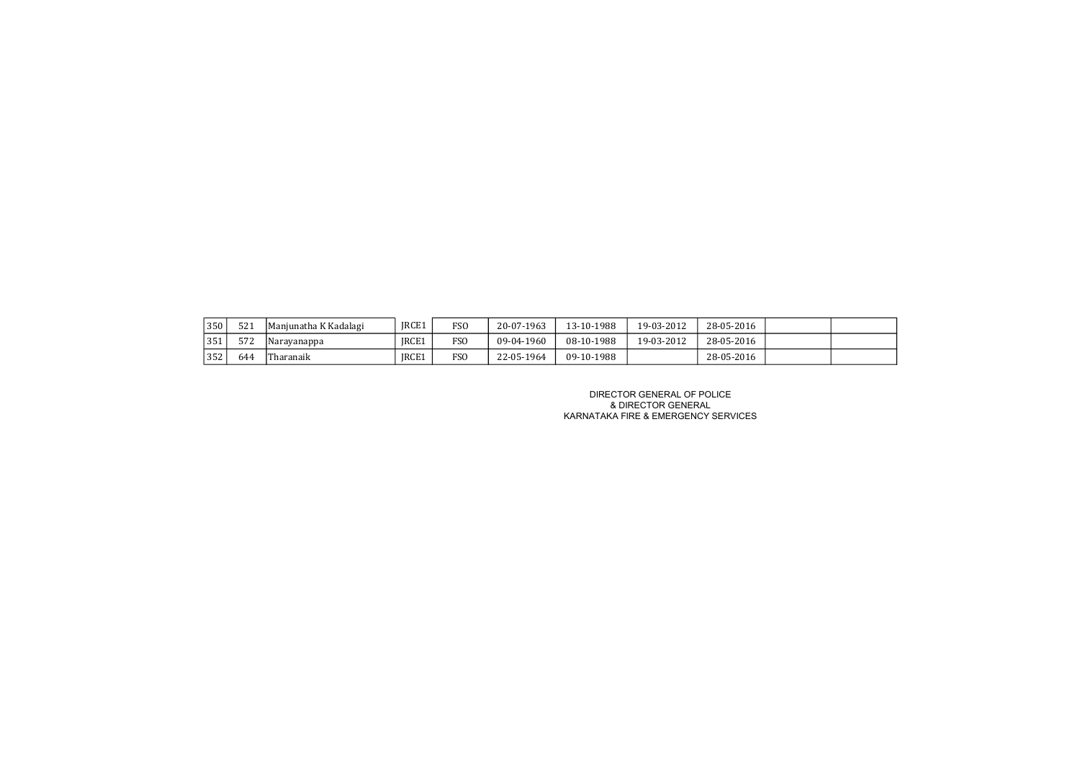| 350 | <b>FO4</b><br>521 | Manjunatha K Kadalagi | IRCE1 | FS <sub>0</sub> | 20-07-1963 | 13-10-1988 | 19-03-2012 | 28-05-2016 |  |
|-----|-------------------|-----------------------|-------|-----------------|------------|------------|------------|------------|--|
| 351 | $-$<br>572        | Narayanappa           | IRCE1 | FS <sub>O</sub> | 09-04-1960 | 08-10-1988 | 19-03-2012 | 28-05-2016 |  |
| 352 | 644               | Tharanaik             | IRCE1 | <b>FSO</b>      | 22-05-1964 | 09-10-1988 |            | 28-05-2016 |  |

DIRECTOR GENERAL OF POLICE & DIRECTOR GENERAL KARNATAKA FIRE & EMERGENCY SERVICES